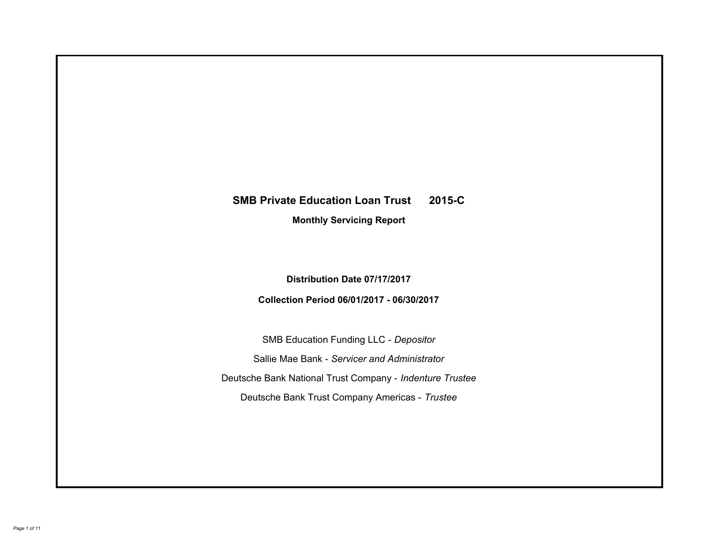# **SMB Private Education Loan Trust 2015-C Monthly Servicing Report**

**Distribution Date 07/17/2017**

**Collection Period 06/01/2017 - 06/30/2017**

SMB Education Funding LLC - *Depositor* Sallie Mae Bank - *Servicer and Administrator* Deutsche Bank National Trust Company - *Indenture Trustee* Deutsche Bank Trust Company Americas - *Trustee*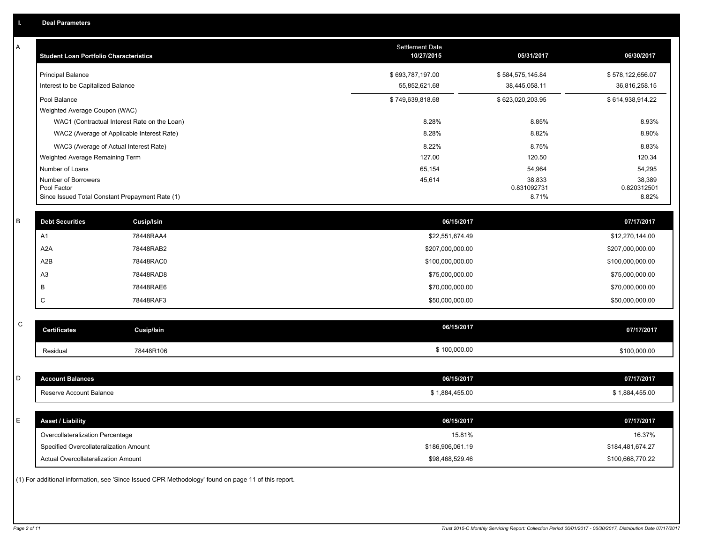| Α           | <b>Student Loan Portfolio Characteristics</b>                              |                                                                                                     | <b>Settlement Date</b><br>10/27/2015 | 05/31/2017            | 06/30/2017                 |
|-------------|----------------------------------------------------------------------------|-----------------------------------------------------------------------------------------------------|--------------------------------------|-----------------------|----------------------------|
|             | <b>Principal Balance</b>                                                   |                                                                                                     | \$693,787,197.00                     | \$584,575,145.84      | \$578,122,656.07           |
|             | Interest to be Capitalized Balance                                         |                                                                                                     | 55,852,621.68                        | 38,445,058.11         | 36,816,258.15              |
|             | Pool Balance                                                               |                                                                                                     | \$749,639,818.68                     | \$623,020,203.95      | \$614,938,914.22           |
|             | Weighted Average Coupon (WAC)                                              |                                                                                                     |                                      |                       |                            |
|             |                                                                            | WAC1 (Contractual Interest Rate on the Loan)                                                        | 8.28%                                | 8.85%                 | 8.93%                      |
|             |                                                                            | WAC2 (Average of Applicable Interest Rate)                                                          | 8.28%                                | 8.82%                 | 8.90%                      |
|             | WAC3 (Average of Actual Interest Rate)                                     |                                                                                                     | 8.22%                                | 8.75%                 | 8.83%                      |
|             | Weighted Average Remaining Term                                            |                                                                                                     | 127.00                               | 120.50                | 120.34                     |
|             | Number of Loans                                                            |                                                                                                     | 65,154                               | 54,964                | 54,295                     |
|             | Number of Borrowers<br>Pool Factor                                         |                                                                                                     | 45,614                               | 38,833<br>0.831092731 | 38,389<br>0.820312501      |
|             | Since Issued Total Constant Prepayment Rate (1)                            |                                                                                                     |                                      | 8.71%                 | 8.82%                      |
| B           | <b>Debt Securities</b>                                                     | <b>Cusip/Isin</b>                                                                                   | 06/15/2017                           |                       | 07/17/2017                 |
|             | A1                                                                         | 78448RAA4                                                                                           | \$22,551,674.49                      |                       | \$12,270,144.00            |
|             | A <sub>2</sub> A                                                           | 78448RAB2                                                                                           | \$207,000,000.00                     |                       | \$207,000,000.00           |
|             | A2B                                                                        | 78448RAC0                                                                                           | \$100,000,000.00                     |                       | \$100,000,000.00           |
|             | A <sub>3</sub>                                                             | 78448RAD8                                                                                           | \$75,000,000.00                      |                       | \$75,000,000.00            |
|             | B                                                                          | 78448RAE6                                                                                           | \$70,000,000.00                      |                       | \$70,000,000.00            |
|             | C                                                                          | 78448RAF3                                                                                           | \$50,000,000.00                      |                       | \$50,000,000.00            |
|             |                                                                            |                                                                                                     |                                      |                       |                            |
| $\mathsf C$ | <b>Certificates</b>                                                        | Cusip/Isin                                                                                          | 06/15/2017                           |                       | 07/17/2017                 |
|             | Residual                                                                   | 78448R106                                                                                           | \$100,000.00                         |                       | \$100,000.00               |
|             |                                                                            |                                                                                                     |                                      |                       |                            |
| D           | <b>Account Balances</b>                                                    |                                                                                                     | 06/15/2017                           |                       | 07/17/2017                 |
|             | Reserve Account Balance                                                    |                                                                                                     | \$1,884,455.00                       |                       | \$1,884,455.00             |
| E           | <b>Asset / Liability</b>                                                   |                                                                                                     | 06/15/2017                           |                       | 07/17/2017                 |
|             |                                                                            |                                                                                                     |                                      |                       |                            |
|             | Overcollateralization Percentage<br>Specified Overcollateralization Amount |                                                                                                     | 15.81%<br>\$186,906,061.19           |                       | 16.37%<br>\$184,481,674.27 |
|             | <b>Actual Overcollateralization Amount</b>                                 |                                                                                                     | \$98,468,529.46                      |                       | \$100,668,770.22           |
|             |                                                                            | (1) For additional information, see 'Since Issued CPR Methodology' found on page 11 of this report. |                                      |                       |                            |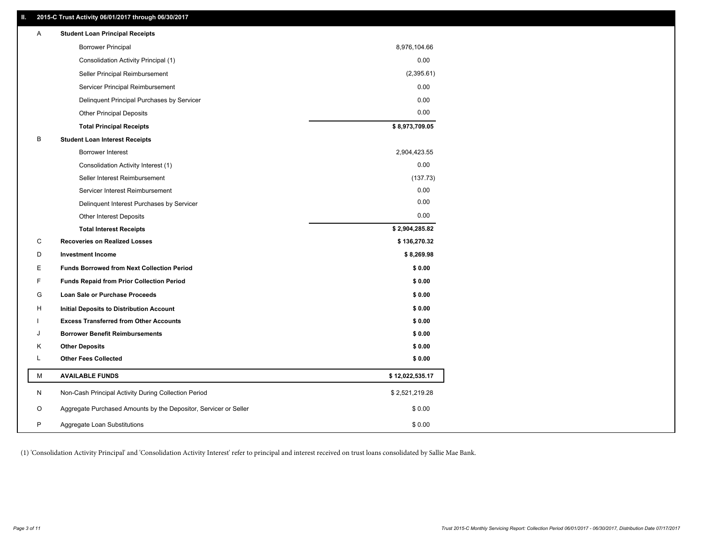### **II. 2015-C Trust Activity 06/01/2017 through 06/30/2017**

| Α | <b>Student Loan Principal Receipts</b>                           |                 |  |
|---|------------------------------------------------------------------|-----------------|--|
|   | <b>Borrower Principal</b>                                        | 8,976,104.66    |  |
|   | Consolidation Activity Principal (1)                             | 0.00            |  |
|   | Seller Principal Reimbursement                                   | (2,395.61)      |  |
|   | Servicer Principal Reimbursement                                 | 0.00            |  |
|   | Delinquent Principal Purchases by Servicer                       | 0.00            |  |
|   | <b>Other Principal Deposits</b>                                  | 0.00            |  |
|   | <b>Total Principal Receipts</b>                                  | \$8,973,709.05  |  |
| B | <b>Student Loan Interest Receipts</b>                            |                 |  |
|   | <b>Borrower Interest</b>                                         | 2,904,423.55    |  |
|   | Consolidation Activity Interest (1)                              | 0.00            |  |
|   | Seller Interest Reimbursement                                    | (137.73)        |  |
|   | Servicer Interest Reimbursement                                  | 0.00            |  |
|   | Delinquent Interest Purchases by Servicer                        | 0.00            |  |
|   | Other Interest Deposits                                          | 0.00            |  |
|   | <b>Total Interest Receipts</b>                                   | \$2,904,285.82  |  |
| С | <b>Recoveries on Realized Losses</b>                             | \$136,270.32    |  |
| D | <b>Investment Income</b>                                         | \$8,269.98      |  |
| Е | <b>Funds Borrowed from Next Collection Period</b>                | \$0.00          |  |
| F | <b>Funds Repaid from Prior Collection Period</b>                 | \$0.00          |  |
| G | Loan Sale or Purchase Proceeds                                   | \$0.00          |  |
| H | Initial Deposits to Distribution Account                         | \$0.00          |  |
|   | <b>Excess Transferred from Other Accounts</b>                    | \$0.00          |  |
| J | <b>Borrower Benefit Reimbursements</b>                           | \$0.00          |  |
| Κ | <b>Other Deposits</b>                                            | \$0.00          |  |
| L | <b>Other Fees Collected</b>                                      | \$0.00          |  |
| М | <b>AVAILABLE FUNDS</b>                                           | \$12,022,535.17 |  |
| N | Non-Cash Principal Activity During Collection Period             | \$2,521,219.28  |  |
| O | Aggregate Purchased Amounts by the Depositor, Servicer or Seller | \$0.00          |  |
| P | Aggregate Loan Substitutions                                     | \$0.00          |  |

(1) 'Consolidation Activity Principal' and 'Consolidation Activity Interest' refer to principal and interest received on trust loans consolidated by Sallie Mae Bank.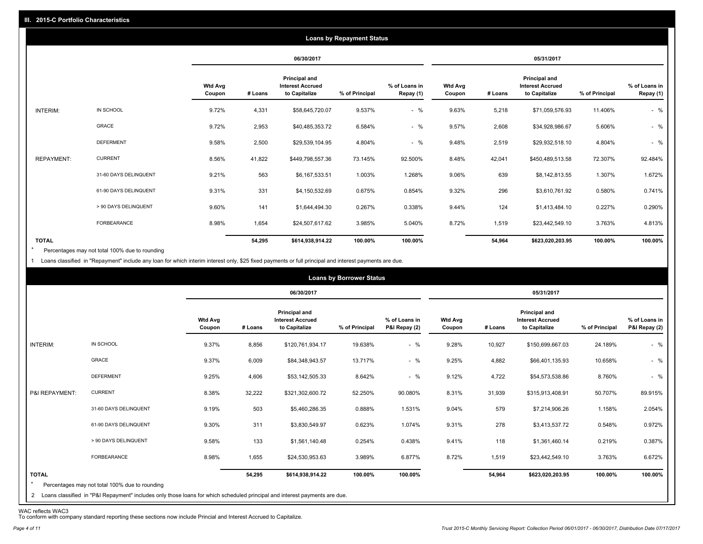|                   |                       |                          |         |                                                           | <b>Loans by Repayment Status</b> |                            |                          |         |                                                                  |                |                            |
|-------------------|-----------------------|--------------------------|---------|-----------------------------------------------------------|----------------------------------|----------------------------|--------------------------|---------|------------------------------------------------------------------|----------------|----------------------------|
|                   |                       |                          |         | 06/30/2017                                                |                                  |                            |                          |         | 05/31/2017                                                       |                |                            |
|                   |                       | <b>Wtd Avg</b><br>Coupon | # Loans | Principal and<br><b>Interest Accrued</b><br>to Capitalize | % of Principal                   | % of Loans in<br>Repay (1) | <b>Wtd Avg</b><br>Coupon | # Loans | <b>Principal and</b><br><b>Interest Accrued</b><br>to Capitalize | % of Principal | % of Loans in<br>Repay (1) |
| INTERIM:          | IN SCHOOL             | 9.72%                    | 4,331   | \$58,645,720.07                                           | 9.537%                           | $-$ %                      | 9.63%                    | 5,218   | \$71,059,576.93                                                  | 11.406%        | $-$ %                      |
|                   | GRACE                 | 9.72%                    | 2,953   | \$40,485,353.72                                           | 6.584%                           | $-$ %                      | 9.57%                    | 2,608   | \$34,928,986.67                                                  | 5.606%         | $-$ %                      |
|                   | <b>DEFERMENT</b>      | 9.58%                    | 2,500   | \$29,539,104.95                                           | 4.804%                           | $-$ %                      | 9.48%                    | 2,519   | \$29,932,518.10                                                  | 4.804%         | $-$ %                      |
| <b>REPAYMENT:</b> | <b>CURRENT</b>        | 8.56%                    | 41,822  | \$449,798,557.36                                          | 73.145%                          | 92.500%                    | 8.48%                    | 42,041  | \$450,489,513.58                                                 | 72.307%        | 92.484%                    |
|                   | 31-60 DAYS DELINQUENT | 9.21%                    | 563     | \$6,167,533.51                                            | 1.003%                           | 1.268%                     | 9.06%                    | 639     | \$8,142,813.55                                                   | 1.307%         | 1.672%                     |
|                   | 61-90 DAYS DELINQUENT | 9.31%                    | 331     | \$4,150,532.69                                            | 0.675%                           | 0.854%                     | 9.32%                    | 296     | \$3,610,761.92                                                   | 0.580%         | 0.741%                     |
|                   | > 90 DAYS DELINQUENT  | 9.60%                    | 141     | \$1,644,494.30                                            | 0.267%                           | 0.338%                     | 9.44%                    | 124     | \$1,413,484.10                                                   | 0.227%         | 0.290%                     |
|                   | <b>FORBEARANCE</b>    | 8.98%                    | 1,654   | \$24,507,617.62                                           | 3.985%                           | 5.040%                     | 8.72%                    | 1,519   | \$23,442,549.10                                                  | 3.763%         | 4.813%                     |
| <b>TOTAL</b>      |                       |                          | 54,295  | \$614,938,914.22                                          | 100.00%                          | 100.00%                    |                          | 54,964  | \$623,020,203.95                                                 | 100.00%        | 100.00%                    |

Percentages may not total 100% due to rounding  $\star$ 

1 Loans classified in "Repayment" include any loan for which interim interest only, \$25 fixed payments or full principal and interest payments are due.

|                         |                                                                                                                                                                                |                          |         |                                                                  | <b>Loans by Borrower Status</b> |                                |                          |         |                                                                  |                |                                |
|-------------------------|--------------------------------------------------------------------------------------------------------------------------------------------------------------------------------|--------------------------|---------|------------------------------------------------------------------|---------------------------------|--------------------------------|--------------------------|---------|------------------------------------------------------------------|----------------|--------------------------------|
|                         |                                                                                                                                                                                |                          |         | 06/30/2017                                                       |                                 |                                |                          |         | 05/31/2017                                                       |                |                                |
|                         |                                                                                                                                                                                | <b>Wtd Avg</b><br>Coupon | # Loans | <b>Principal and</b><br><b>Interest Accrued</b><br>to Capitalize | % of Principal                  | % of Loans in<br>P&I Repay (2) | <b>Wtd Avg</b><br>Coupon | # Loans | <b>Principal and</b><br><b>Interest Accrued</b><br>to Capitalize | % of Principal | % of Loans in<br>P&I Repay (2) |
| INTERIM:                | IN SCHOOL                                                                                                                                                                      | 9.37%                    | 8,856   | \$120,761,934.17                                                 | 19.638%                         | $-$ %                          | 9.28%                    | 10,927  | \$150,699,667.03                                                 | 24.189%        | $-$ %                          |
|                         | GRACE                                                                                                                                                                          | 9.37%                    | 6,009   | \$84,348,943.57                                                  | 13.717%                         | $-$ %                          | 9.25%                    | 4,882   | \$66,401,135.93                                                  | 10.658%        | $-$ %                          |
|                         | <b>DEFERMENT</b>                                                                                                                                                               | 9.25%                    | 4,606   | \$53,142,505.33                                                  | 8.642%                          | $-$ %                          | 9.12%                    | 4,722   | \$54,573,538.86                                                  | 8.760%         | $-$ %                          |
| P&I REPAYMENT:          | <b>CURRENT</b>                                                                                                                                                                 | 8.38%                    | 32,222  | \$321,302,600.72                                                 | 52.250%                         | 90.080%                        | 8.31%                    | 31,939  | \$315,913,408.91                                                 | 50.707%        | 89.915%                        |
|                         | 31-60 DAYS DELINQUENT                                                                                                                                                          | 9.19%                    | 503     | \$5,460,286.35                                                   | 0.888%                          | 1.531%                         | 9.04%                    | 579     | \$7,214,906.26                                                   | 1.158%         | 2.054%                         |
|                         | 61-90 DAYS DELINQUENT                                                                                                                                                          | 9.30%                    | 311     | \$3,830,549.97                                                   | 0.623%                          | 1.074%                         | 9.31%                    | 278     | \$3,413,537.72                                                   | 0.548%         | 0.972%                         |
|                         | > 90 DAYS DELINQUENT                                                                                                                                                           | 9.58%                    | 133     | \$1,561,140.48                                                   | 0.254%                          | 0.438%                         | 9.41%                    | 118     | \$1,361,460.14                                                   | 0.219%         | 0.387%                         |
|                         | FORBEARANCE                                                                                                                                                                    | 8.98%                    | 1,655   | \$24,530,953.63                                                  | 3.989%                          | 6.877%                         | 8.72%                    | 1,519   | \$23,442,549.10                                                  | 3.763%         | 6.672%                         |
| <b>TOTAL</b><br>$\star$ | Percentages may not total 100% due to rounding<br>2 Loans classified in "P&I Repayment" includes only those loans for which scheduled principal and interest payments are due. |                          | 54,295  | \$614,938,914.22                                                 | 100.00%                         | 100.00%                        |                          | 54,964  | \$623,020,203.95                                                 | 100.00%        | 100.00%                        |

WAC reflects WAC3 To conform with company standard reporting these sections now include Princial and Interest Accrued to Capitalize.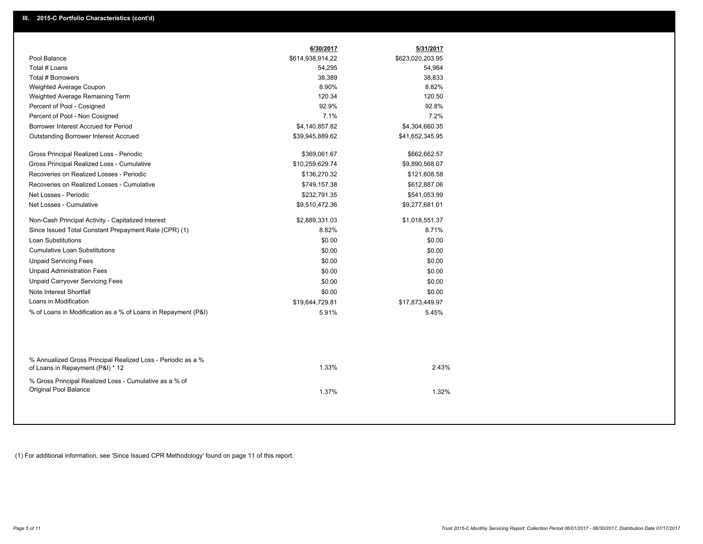| Pool Balance<br>\$614,938,914.22<br>\$623,020,203.95<br>Total # Loans<br>54,295<br>54,964<br>Total # Borrowers<br>38,833<br>38,389<br>8.90%<br>8.82%<br>Weighted Average Coupon<br>120.34<br>120.50<br>Weighted Average Remaining Term<br>92.9%<br>92.8%<br>Percent of Pool - Cosigned<br>7.1%<br>7.2%<br>Percent of Pool - Non Cosigned<br>Borrower Interest Accrued for Period<br>\$4,140,857.82<br>\$4,304,660.35<br>\$41,652,345.95<br><b>Outstanding Borrower Interest Accrued</b><br>\$39,945,889.62<br>Gross Principal Realized Loss - Periodic<br>\$369,061.67<br>\$662,662.57<br>\$10,259,629.74<br>Gross Principal Realized Loss - Cumulative<br>\$9,890,568.07<br>Recoveries on Realized Losses - Periodic<br>\$136,270.32<br>\$121,608.58<br>Recoveries on Realized Losses - Cumulative<br>\$749,157.38<br>\$612,887.06<br>Net Losses - Periodic<br>\$232,791.35<br>\$541,053.99<br>Net Losses - Cumulative<br>\$9,510,472.36<br>\$9,277,681.01<br>Non-Cash Principal Activity - Capitalized Interest<br>\$2,889,331.03<br>\$1,018,551.37<br>Since Issued Total Constant Prepayment Rate (CPR) (1)<br>8.82%<br>8.71%<br><b>Loan Substitutions</b><br>\$0.00<br>\$0.00<br><b>Cumulative Loan Substitutions</b><br>\$0.00<br>\$0.00<br><b>Unpaid Servicing Fees</b><br>\$0.00<br>\$0.00<br><b>Unpaid Administration Fees</b><br>\$0.00<br>\$0.00<br><b>Unpaid Carryover Servicing Fees</b><br>\$0.00<br>\$0.00<br>Note Interest Shortfall<br>\$0.00<br>\$0.00<br>Loans in Modification<br>\$19,644,729.81<br>\$17,873,449.97<br>% of Loans in Modification as a % of Loans in Repayment (P&I)<br>5.45%<br>5.91%<br>% Annualized Gross Principal Realized Loss - Periodic as a %<br>1.33%<br>2.43%<br>of Loans in Repayment (P&I) * 12<br>% Gross Principal Realized Loss - Cumulative as a % of<br>Original Pool Balance<br>1.37%<br>1.32% | 6/30/2017 | 5/31/2017 |  |
|------------------------------------------------------------------------------------------------------------------------------------------------------------------------------------------------------------------------------------------------------------------------------------------------------------------------------------------------------------------------------------------------------------------------------------------------------------------------------------------------------------------------------------------------------------------------------------------------------------------------------------------------------------------------------------------------------------------------------------------------------------------------------------------------------------------------------------------------------------------------------------------------------------------------------------------------------------------------------------------------------------------------------------------------------------------------------------------------------------------------------------------------------------------------------------------------------------------------------------------------------------------------------------------------------------------------------------------------------------------------------------------------------------------------------------------------------------------------------------------------------------------------------------------------------------------------------------------------------------------------------------------------------------------------------------------------------------------------------------------------------------------------------------------------------------------------------------------------------|-----------|-----------|--|
|                                                                                                                                                                                                                                                                                                                                                                                                                                                                                                                                                                                                                                                                                                                                                                                                                                                                                                                                                                                                                                                                                                                                                                                                                                                                                                                                                                                                                                                                                                                                                                                                                                                                                                                                                                                                                                                      |           |           |  |
|                                                                                                                                                                                                                                                                                                                                                                                                                                                                                                                                                                                                                                                                                                                                                                                                                                                                                                                                                                                                                                                                                                                                                                                                                                                                                                                                                                                                                                                                                                                                                                                                                                                                                                                                                                                                                                                      |           |           |  |
|                                                                                                                                                                                                                                                                                                                                                                                                                                                                                                                                                                                                                                                                                                                                                                                                                                                                                                                                                                                                                                                                                                                                                                                                                                                                                                                                                                                                                                                                                                                                                                                                                                                                                                                                                                                                                                                      |           |           |  |
|                                                                                                                                                                                                                                                                                                                                                                                                                                                                                                                                                                                                                                                                                                                                                                                                                                                                                                                                                                                                                                                                                                                                                                                                                                                                                                                                                                                                                                                                                                                                                                                                                                                                                                                                                                                                                                                      |           |           |  |
|                                                                                                                                                                                                                                                                                                                                                                                                                                                                                                                                                                                                                                                                                                                                                                                                                                                                                                                                                                                                                                                                                                                                                                                                                                                                                                                                                                                                                                                                                                                                                                                                                                                                                                                                                                                                                                                      |           |           |  |
|                                                                                                                                                                                                                                                                                                                                                                                                                                                                                                                                                                                                                                                                                                                                                                                                                                                                                                                                                                                                                                                                                                                                                                                                                                                                                                                                                                                                                                                                                                                                                                                                                                                                                                                                                                                                                                                      |           |           |  |
|                                                                                                                                                                                                                                                                                                                                                                                                                                                                                                                                                                                                                                                                                                                                                                                                                                                                                                                                                                                                                                                                                                                                                                                                                                                                                                                                                                                                                                                                                                                                                                                                                                                                                                                                                                                                                                                      |           |           |  |
|                                                                                                                                                                                                                                                                                                                                                                                                                                                                                                                                                                                                                                                                                                                                                                                                                                                                                                                                                                                                                                                                                                                                                                                                                                                                                                                                                                                                                                                                                                                                                                                                                                                                                                                                                                                                                                                      |           |           |  |
|                                                                                                                                                                                                                                                                                                                                                                                                                                                                                                                                                                                                                                                                                                                                                                                                                                                                                                                                                                                                                                                                                                                                                                                                                                                                                                                                                                                                                                                                                                                                                                                                                                                                                                                                                                                                                                                      |           |           |  |
|                                                                                                                                                                                                                                                                                                                                                                                                                                                                                                                                                                                                                                                                                                                                                                                                                                                                                                                                                                                                                                                                                                                                                                                                                                                                                                                                                                                                                                                                                                                                                                                                                                                                                                                                                                                                                                                      |           |           |  |
|                                                                                                                                                                                                                                                                                                                                                                                                                                                                                                                                                                                                                                                                                                                                                                                                                                                                                                                                                                                                                                                                                                                                                                                                                                                                                                                                                                                                                                                                                                                                                                                                                                                                                                                                                                                                                                                      |           |           |  |
|                                                                                                                                                                                                                                                                                                                                                                                                                                                                                                                                                                                                                                                                                                                                                                                                                                                                                                                                                                                                                                                                                                                                                                                                                                                                                                                                                                                                                                                                                                                                                                                                                                                                                                                                                                                                                                                      |           |           |  |
|                                                                                                                                                                                                                                                                                                                                                                                                                                                                                                                                                                                                                                                                                                                                                                                                                                                                                                                                                                                                                                                                                                                                                                                                                                                                                                                                                                                                                                                                                                                                                                                                                                                                                                                                                                                                                                                      |           |           |  |
|                                                                                                                                                                                                                                                                                                                                                                                                                                                                                                                                                                                                                                                                                                                                                                                                                                                                                                                                                                                                                                                                                                                                                                                                                                                                                                                                                                                                                                                                                                                                                                                                                                                                                                                                                                                                                                                      |           |           |  |
|                                                                                                                                                                                                                                                                                                                                                                                                                                                                                                                                                                                                                                                                                                                                                                                                                                                                                                                                                                                                                                                                                                                                                                                                                                                                                                                                                                                                                                                                                                                                                                                                                                                                                                                                                                                                                                                      |           |           |  |
|                                                                                                                                                                                                                                                                                                                                                                                                                                                                                                                                                                                                                                                                                                                                                                                                                                                                                                                                                                                                                                                                                                                                                                                                                                                                                                                                                                                                                                                                                                                                                                                                                                                                                                                                                                                                                                                      |           |           |  |
|                                                                                                                                                                                                                                                                                                                                                                                                                                                                                                                                                                                                                                                                                                                                                                                                                                                                                                                                                                                                                                                                                                                                                                                                                                                                                                                                                                                                                                                                                                                                                                                                                                                                                                                                                                                                                                                      |           |           |  |
|                                                                                                                                                                                                                                                                                                                                                                                                                                                                                                                                                                                                                                                                                                                                                                                                                                                                                                                                                                                                                                                                                                                                                                                                                                                                                                                                                                                                                                                                                                                                                                                                                                                                                                                                                                                                                                                      |           |           |  |
|                                                                                                                                                                                                                                                                                                                                                                                                                                                                                                                                                                                                                                                                                                                                                                                                                                                                                                                                                                                                                                                                                                                                                                                                                                                                                                                                                                                                                                                                                                                                                                                                                                                                                                                                                                                                                                                      |           |           |  |
|                                                                                                                                                                                                                                                                                                                                                                                                                                                                                                                                                                                                                                                                                                                                                                                                                                                                                                                                                                                                                                                                                                                                                                                                                                                                                                                                                                                                                                                                                                                                                                                                                                                                                                                                                                                                                                                      |           |           |  |
|                                                                                                                                                                                                                                                                                                                                                                                                                                                                                                                                                                                                                                                                                                                                                                                                                                                                                                                                                                                                                                                                                                                                                                                                                                                                                                                                                                                                                                                                                                                                                                                                                                                                                                                                                                                                                                                      |           |           |  |
|                                                                                                                                                                                                                                                                                                                                                                                                                                                                                                                                                                                                                                                                                                                                                                                                                                                                                                                                                                                                                                                                                                                                                                                                                                                                                                                                                                                                                                                                                                                                                                                                                                                                                                                                                                                                                                                      |           |           |  |
|                                                                                                                                                                                                                                                                                                                                                                                                                                                                                                                                                                                                                                                                                                                                                                                                                                                                                                                                                                                                                                                                                                                                                                                                                                                                                                                                                                                                                                                                                                                                                                                                                                                                                                                                                                                                                                                      |           |           |  |
|                                                                                                                                                                                                                                                                                                                                                                                                                                                                                                                                                                                                                                                                                                                                                                                                                                                                                                                                                                                                                                                                                                                                                                                                                                                                                                                                                                                                                                                                                                                                                                                                                                                                                                                                                                                                                                                      |           |           |  |
|                                                                                                                                                                                                                                                                                                                                                                                                                                                                                                                                                                                                                                                                                                                                                                                                                                                                                                                                                                                                                                                                                                                                                                                                                                                                                                                                                                                                                                                                                                                                                                                                                                                                                                                                                                                                                                                      |           |           |  |
|                                                                                                                                                                                                                                                                                                                                                                                                                                                                                                                                                                                                                                                                                                                                                                                                                                                                                                                                                                                                                                                                                                                                                                                                                                                                                                                                                                                                                                                                                                                                                                                                                                                                                                                                                                                                                                                      |           |           |  |
|                                                                                                                                                                                                                                                                                                                                                                                                                                                                                                                                                                                                                                                                                                                                                                                                                                                                                                                                                                                                                                                                                                                                                                                                                                                                                                                                                                                                                                                                                                                                                                                                                                                                                                                                                                                                                                                      |           |           |  |
|                                                                                                                                                                                                                                                                                                                                                                                                                                                                                                                                                                                                                                                                                                                                                                                                                                                                                                                                                                                                                                                                                                                                                                                                                                                                                                                                                                                                                                                                                                                                                                                                                                                                                                                                                                                                                                                      |           |           |  |

(1) For additional information, see 'Since Issued CPR Methodology' found on page 11 of this report.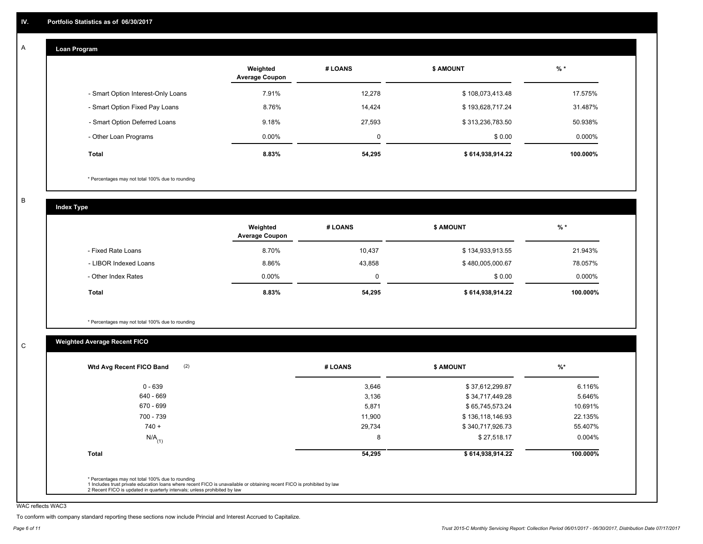#### **Loan Program**  A

|                                    | Weighted<br><b>Average Coupon</b> | # LOANS     | <b>\$ AMOUNT</b> | $%$ *    |
|------------------------------------|-----------------------------------|-------------|------------------|----------|
| - Smart Option Interest-Only Loans | 7.91%                             | 12,278      | \$108,073,413.48 | 17.575%  |
| - Smart Option Fixed Pay Loans     | 8.76%                             | 14.424      | \$193,628,717.24 | 31.487%  |
| - Smart Option Deferred Loans      | 9.18%                             | 27.593      | \$313,236,783.50 | 50.938%  |
| - Other Loan Programs              | $0.00\%$                          | $\mathbf 0$ | \$0.00           | 0.000%   |
| Total                              | 8.83%                             | 54,295      | \$614,938,914.22 | 100.000% |

\* Percentages may not total 100% due to rounding

B

C

**Index Type**

|                       | Weighted<br><b>Average Coupon</b> | # LOANS | <b>S AMOUNT</b>  | $%$ *     |
|-----------------------|-----------------------------------|---------|------------------|-----------|
| - Fixed Rate Loans    | 8.70%                             | 10,437  | \$134,933,913.55 | 21.943%   |
| - LIBOR Indexed Loans | 8.86%                             | 43,858  | \$480,005,000.67 | 78.057%   |
| - Other Index Rates   | $0.00\%$                          |         | \$0.00           | $0.000\%$ |
| <b>Total</b>          | 8.83%                             | 54,295  | \$614,938,914.22 | 100.000%  |

\* Percentages may not total 100% due to rounding

## **Weighted Average Recent FICO**

| (2)<br>Wtd Avg Recent FICO Band | # LOANS | \$ AMOUNT        | $%$ *     |
|---------------------------------|---------|------------------|-----------|
| $0 - 639$                       | 3,646   | \$37,612,299.87  | 6.116%    |
| 640 - 669                       | 3,136   | \$34,717,449.28  | 5.646%    |
| 670 - 699                       | 5,871   | \$65,745,573.24  | 10.691%   |
| 700 - 739                       | 11,900  | \$136,118,146.93 | 22.135%   |
| $740 +$                         | 29,734  | \$340,717,926.73 | 55.407%   |
| $N/A$ <sub>(1)</sub>            | 8       | \$27,518.17      | $0.004\%$ |
| <b>Total</b>                    | 54,295  | \$614,938,914.22 | 100.000%  |
|                                 |         |                  |           |

WAC reflects WAC3

To conform with company standard reporting these sections now include Princial and Interest Accrued to Capitalize.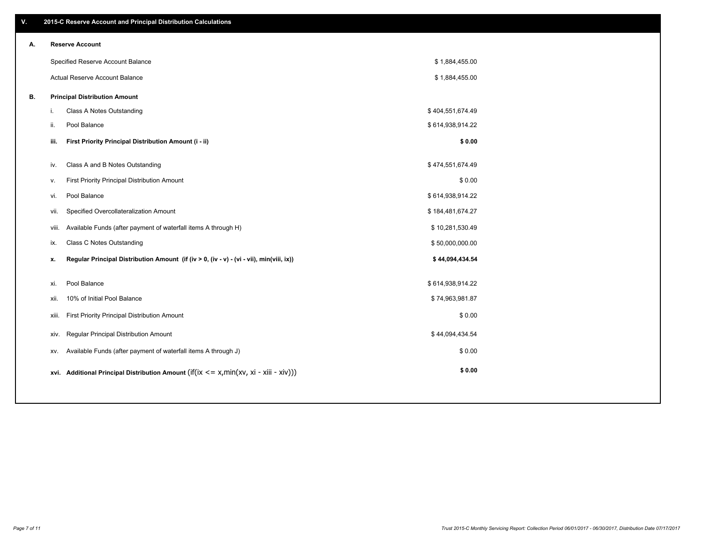| V. |     | 2015-C Reserve Account and Principal Distribution Calculations                                 |                  |  |
|----|-----|------------------------------------------------------------------------------------------------|------------------|--|
| А. |     | <b>Reserve Account</b>                                                                         |                  |  |
|    |     | Specified Reserve Account Balance                                                              | \$1,884,455.00   |  |
|    |     | Actual Reserve Account Balance                                                                 | \$1,884,455.00   |  |
| В. |     | <b>Principal Distribution Amount</b>                                                           |                  |  |
|    | i.  | Class A Notes Outstanding                                                                      | \$404,551,674.49 |  |
|    | ii. | Pool Balance                                                                                   | \$614,938,914.22 |  |
|    |     | First Priority Principal Distribution Amount (i - ii)<br>iii.                                  | \$0.00           |  |
|    |     |                                                                                                |                  |  |
|    |     | Class A and B Notes Outstanding<br>iv.                                                         | \$474,551,674.49 |  |
|    |     | First Priority Principal Distribution Amount<br>v.                                             | \$0.00           |  |
|    |     | Pool Balance<br>vi.                                                                            | \$614,938,914.22 |  |
|    |     | Specified Overcollateralization Amount<br>vii.                                                 | \$184,481,674.27 |  |
|    |     | Available Funds (after payment of waterfall items A through H)<br>viii.                        | \$10,281,530.49  |  |
|    |     | Class C Notes Outstanding<br>ix.                                                               | \$50,000,000.00  |  |
|    |     | Regular Principal Distribution Amount (if (iv > 0, (iv - v) - (vi - vii), min(viii, ix))<br>x. | \$44,094,434.54  |  |
|    |     |                                                                                                |                  |  |
|    |     | Pool Balance<br>xi.                                                                            | \$614,938,914.22 |  |
|    |     | 10% of Initial Pool Balance<br>xii.                                                            | \$74,963,981.87  |  |
|    |     | First Priority Principal Distribution Amount<br>xiii.                                          | \$0.00           |  |
|    |     | <b>Regular Principal Distribution Amount</b><br>xiv.                                           | \$44,094,434.54  |  |
|    |     | Available Funds (after payment of waterfall items A through J)<br>XV.                          | \$0.00           |  |
|    |     | xvi. Additional Principal Distribution Amount (if(ix $\lt$ = x, min(xv, xi - xiii - xiv)))     | \$0.00           |  |
|    |     |                                                                                                |                  |  |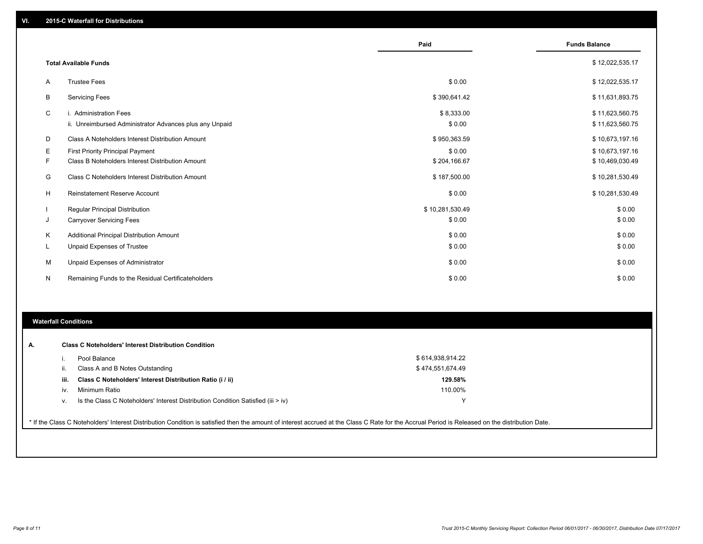|    |                                                         | Paid            | <b>Funds Balance</b> |
|----|---------------------------------------------------------|-----------------|----------------------|
|    |                                                         |                 |                      |
|    | <b>Total Available Funds</b>                            |                 | \$12,022,535.17      |
| A  | <b>Trustee Fees</b>                                     | \$0.00          | \$12,022,535.17      |
| B  | <b>Servicing Fees</b>                                   | \$390,641.42    | \$11,631,893.75      |
| C  | i. Administration Fees                                  | \$8,333.00      | \$11,623,560.75      |
|    | ii. Unreimbursed Administrator Advances plus any Unpaid | \$0.00          | \$11,623,560.75      |
| D  | Class A Noteholders Interest Distribution Amount        | \$950,363.59    | \$10,673,197.16      |
| Е  | <b>First Priority Principal Payment</b>                 | \$0.00          | \$10,673,197.16      |
| F  | Class B Noteholders Interest Distribution Amount        | \$204,166.67    | \$10,469,030.49      |
| G  | Class C Noteholders Interest Distribution Amount        | \$187,500.00    | \$10,281,530.49      |
| н  | <b>Reinstatement Reserve Account</b>                    | \$0.00          | \$10,281,530.49      |
|    | Regular Principal Distribution                          | \$10,281,530.49 | \$0.00               |
| J  | <b>Carryover Servicing Fees</b>                         | \$0.00          | \$0.00               |
| K  | Additional Principal Distribution Amount                | \$0.00          | \$0.00               |
| ч. | <b>Unpaid Expenses of Trustee</b>                       | \$0.00          | \$0.00               |
| М  | Unpaid Expenses of Administrator                        | \$0.00          | \$0.00               |
| N  | Remaining Funds to the Residual Certificateholders      | \$0.00          | \$0.00               |

#### **Waterfall Conditions**

|      | Pool Balance                                                                     | \$614,938,914.22 |
|------|----------------------------------------------------------------------------------|------------------|
| H.   | Class A and B Notes Outstanding                                                  | \$474,551,674.49 |
| iii. | Class C Noteholders' Interest Distribution Ratio (i / ii)                        | 129.58%          |
| IV.  | Minimum Ratio                                                                    | 110.00%          |
| v.   | Is the Class C Noteholders' Interest Distribution Condition Satisfied (iii > iv) |                  |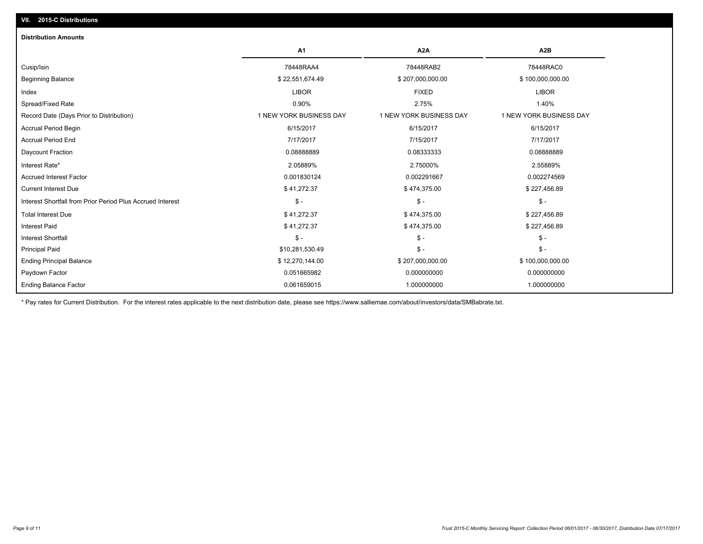| <b>Distribution Amounts</b>                                |                         |                         |                         |
|------------------------------------------------------------|-------------------------|-------------------------|-------------------------|
|                                                            | A <sub>1</sub>          | A <sub>2</sub> A        | A2B                     |
| Cusip/Isin                                                 | 78448RAA4               | 78448RAB2               | 78448RAC0               |
| <b>Beginning Balance</b>                                   | \$22,551,674.49         | \$207,000,000.00        | \$100,000,000.00        |
| Index                                                      | <b>LIBOR</b>            | <b>FIXED</b>            | <b>LIBOR</b>            |
| Spread/Fixed Rate                                          | 0.90%                   | 2.75%                   | 1.40%                   |
| Record Date (Days Prior to Distribution)                   | 1 NEW YORK BUSINESS DAY | 1 NEW YORK BUSINESS DAY | 1 NEW YORK BUSINESS DAY |
| <b>Accrual Period Begin</b>                                | 6/15/2017               | 6/15/2017               | 6/15/2017               |
| <b>Accrual Period End</b>                                  | 7/17/2017               | 7/15/2017               | 7/17/2017               |
| Daycount Fraction                                          | 0.08888889              | 0.08333333              | 0.08888889              |
| Interest Rate*                                             | 2.05889%                | 2.75000%                | 2.55889%                |
| <b>Accrued Interest Factor</b>                             | 0.001830124             | 0.002291667             | 0.002274569             |
| <b>Current Interest Due</b>                                | \$41,272.37             | \$474,375.00            | \$227,456.89            |
| Interest Shortfall from Prior Period Plus Accrued Interest | $\mathbb{S}$ -          | $\mathsf{\$}$ -         | $\mathsf{\$}$ -         |
| <b>Total Interest Due</b>                                  | \$41,272.37             | \$474,375.00            | \$227,456.89            |
| <b>Interest Paid</b>                                       | \$41,272.37             | \$474,375.00            | \$227,456.89            |
| <b>Interest Shortfall</b>                                  | $\mathsf{\$}$ -         | $\mathbb{S}$ -          | $\mathcal{S}$ -         |
| <b>Principal Paid</b>                                      | \$10,281,530.49         | $\mathsf{\$}$ -         | $\mathsf{\$}$ -         |
| <b>Ending Principal Balance</b>                            | \$12,270,144.00         | \$207,000,000.00        | \$100,000,000.00        |
| Paydown Factor                                             | 0.051665982             | 0.000000000             | 0.000000000             |
| <b>Ending Balance Factor</b>                               | 0.061659015             | 1.000000000             | 1.000000000             |

\* Pay rates for Current Distribution. For the interest rates applicable to the next distribution date, please see https://www.salliemae.com/about/investors/data/SMBabrate.txt.

**VII. 2015-C Distributions**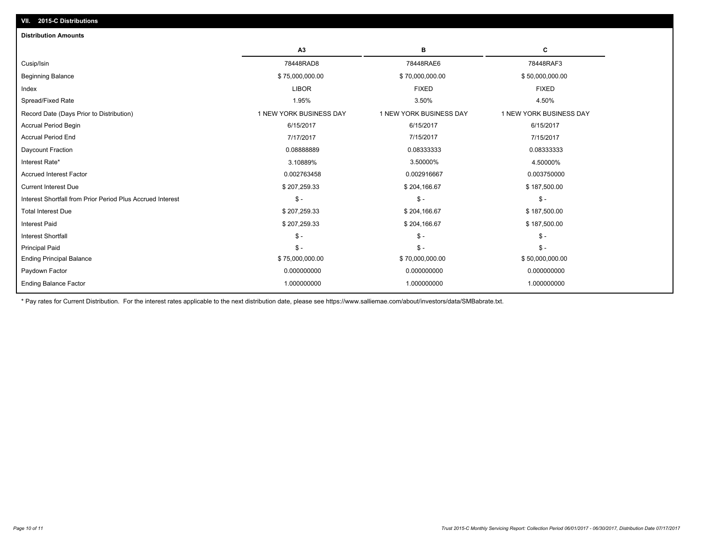| <b>Distribution Amounts</b>                                |                         |                         |                         |
|------------------------------------------------------------|-------------------------|-------------------------|-------------------------|
|                                                            | A3                      | в                       | С                       |
| Cusip/Isin                                                 | 78448RAD8               | 78448RAE6               | 78448RAF3               |
| <b>Beginning Balance</b>                                   | \$75,000,000.00         | \$70,000,000.00         | \$50,000,000.00         |
| Index                                                      | <b>LIBOR</b>            | <b>FIXED</b>            | <b>FIXED</b>            |
| Spread/Fixed Rate                                          | 1.95%                   | 3.50%                   | 4.50%                   |
| Record Date (Days Prior to Distribution)                   | 1 NEW YORK BUSINESS DAY | 1 NEW YORK BUSINESS DAY | 1 NEW YORK BUSINESS DAY |
| <b>Accrual Period Begin</b>                                | 6/15/2017               | 6/15/2017               | 6/15/2017               |
| <b>Accrual Period End</b>                                  | 7/17/2017               | 7/15/2017               | 7/15/2017               |
| Daycount Fraction                                          | 0.0888889               | 0.08333333              | 0.08333333              |
| Interest Rate*                                             | 3.10889%                | 3.50000%                | 4.50000%                |
| <b>Accrued Interest Factor</b>                             | 0.002763458             | 0.002916667             | 0.003750000             |
| <b>Current Interest Due</b>                                | \$207,259.33            | \$204,166.67            | \$187,500.00            |
| Interest Shortfall from Prior Period Plus Accrued Interest | $S -$                   | $\mathsf{\$}$ -         | $\frac{2}{3}$ -         |
| <b>Total Interest Due</b>                                  | \$207,259.33            | \$204,166.67            | \$187,500.00            |
| <b>Interest Paid</b>                                       | \$207,259.33            | \$204,166.67            | \$187,500.00            |
| <b>Interest Shortfall</b>                                  | $S -$                   | $\mathsf{\$}$ -         | $\mathsf{\$}$ -         |
| <b>Principal Paid</b>                                      | $S -$                   | $S -$                   | $$ -$                   |
| <b>Ending Principal Balance</b>                            | \$75,000,000.00         | \$70,000,000.00         | \$50,000,000.00         |
| Paydown Factor                                             | 0.000000000             | 0.000000000             | 0.000000000             |
| <b>Ending Balance Factor</b>                               | 1.000000000             | 1.000000000             | 1.000000000             |
|                                                            |                         |                         |                         |

\* Pay rates for Current Distribution. For the interest rates applicable to the next distribution date, please see https://www.salliemae.com/about/investors/data/SMBabrate.txt.

**VII. 2015-C Distributions**